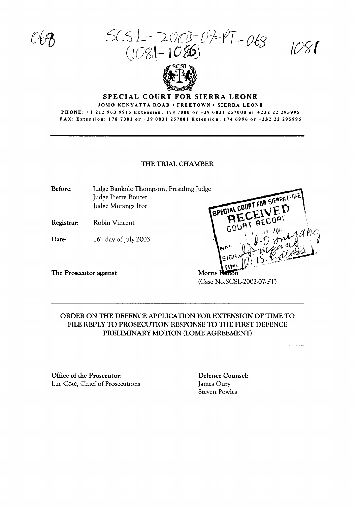$SCSL - 2003-07-17-068$  $(108$ - IO8O)

/Oflf



#### SPECIAL COURT FOR SIERRA LEONE

JOMO KENYATTA ROAD · FREETOWN · SIERRA LEONE PHONE: +1 2129639915 Extension: 1787000 or +39 0831257000 or +232 22 295995 FAX: Extension: 178 7001 or +39 0831 257001 Extension: 1746996 or +232 22 295996

#### THE TRIAL CHAMBER

Before: Judge Bankole Thompson, Presiding Judge Judge Pierre Boutet Judge Mutanga ltoe

Registrar: Robin Vincent

Date:  $16<sup>th</sup>$  day of July 2003

The Prosecutor against

Morris Ration (Case No.SCSL-2002-07-PT)

SPECIAL COURT FOR SIERRALE ON

# ORDER ON THE DEFENCE APPLICATION FOR EXTENSION OF TIME TO FILE REPLY TO PROSECUTION RESPONSE TO THE FIRST DEFENCE PRELIMINARY MOTION (LOME AGREEMENT)

Office of the Prosecutor: Luc Cote, Chief of Prosecutions

Defence Counsel: James Oury Steven Powles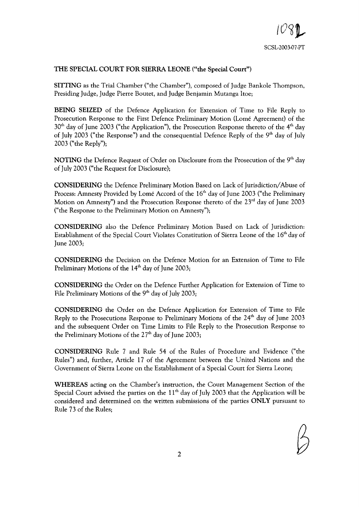# THE SPECIAL COURT FOR SIERRA LEONE ("the Special Court")

SITIING as the Trial Chamber ("the Chamber"), composed of Judge Bankole Thompson, Presiding Judge, Judge Pierre Boutet, and Judge Benjamin Mutanga ltoe;

BEING SEIZED of the Defence Application for Extension of Time to File Reply to Prosecution Response to the First Defence Preliminary Motion (Lome Agreement) of the  $30<sup>th</sup>$  day of June 2003 ("the Application"), the Prosecution Response thereto of the 4<sup>th</sup> day of July 2003 ("the Response") and the consequential Defence Reply of the  $9<sup>th</sup>$  day of July 2003 ("the Reply");

NOTING the Defence Request of Order on Disclosure from the Prosecution of the 9<sup>th</sup> day of July 2003 ("the Request for Disclosure);

CONSIDERING the Defence Preliminary Motion Based on Lack of Jurisdiction/Abuse of Process: Amnesty Provided by Lomé Accord of the 16<sup>th</sup> day of June 2003 ("the Preliminary Motion on Amnesty") and the Prosecution Response thereto of the 23<sup>rd</sup> day of June 2003 ("the Response to the Preliminary Motion on Amnesty");

CONSIDERING also the Defence Preliminary Motion Based on Lack of Jurisdiction: Establishment of the Special Court Violates Constitution of Sierra Leone of the 16<sup>th</sup> day of June 2003;

CONSIDERING the Decision on the Defence Motion for an Extension of Time to File Preliminary Motions of the  $14<sup>th</sup>$  day of June 2003;

CONSIDERING the Order on the Defence Further Application for Extension of Time to File Preliminary Motions of the  $9<sup>th</sup>$  day of July 2003;

CONSIDERING the Order on the Defence Application for Extension of Time to File Reply to the Prosecutions Response to Preliminary Motions of the 24<sup>th</sup> day of June 2003 and the subsequent Order on Time Limits to File Reply to the Prosecution Response to the Preliminary Motions of the  $27<sup>th</sup>$  day of June 2003;

CONSIDERING Rule 7 and Rule 54 of the Rules of Procedure and Evidence ("the Rules") and, further, Article 17 of the Agreement between the United Nations and the Government of Sierra Leone on the Establishment of a Special Court for Sierra Leone;

WHEREAS acting on the Chamber's instruction, the Court Management Section of the Special Court advised the parties on the  $11<sup>th</sup>$  day of July 2003 that the Application will be considered and determined on the written submissions of the parties ONLY pursuant to Rule 73 of the Rules;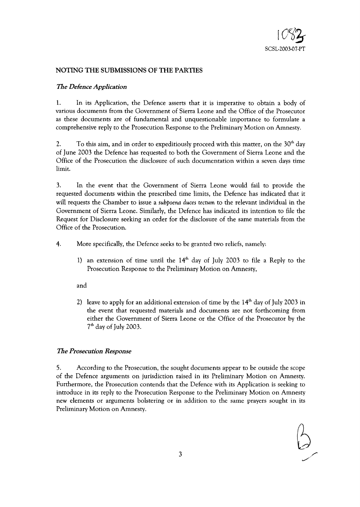

# NOTING **THE** SUBMISSIONS OF **THE** PARTIES

### *The Defence Application*

1. In its Application, the Defence asserts that it is imperative to obtain a body of various documents from the Government of Sierra Leone and the Office of the Prosecutor as these documents are of fundamental and unquestionable importance to formulate a comprehensive reply to the Prosecution Response to the Preliminary Motion on Amnesty.

2. To this aim, and in order to expeditiously proceed with this matter, on the  $30<sup>th</sup>$  day of June 2003 the Defence has requested to both the Government of Sierra Leone and the Office of the Prosecution the disclosure of such documentation within a seven days time limit.

3. In the event that the Government of Sierra Leone would fail to provide the requested documents within the prescribed time limits, the Defence has indicated that it will requests the Chamber to issue a *subpoena duces tectum* to the relevant individual in the Government of Sierra Leone. Similarly, the Defence has indicated its intention to file the Request for Disclosure seeking an order for the disclosure of the same materials from the Office of the Prosecution.

4. More specifically, the Defence seeks to be granted two reliefs, namely:

1) an extension of time until the  $14<sup>th</sup>$  day of July 2003 to file a Reply to the Prosecution Response to the Preliminary Motion on Amnesty,

and

2) leave to apply for an additional extension of time by the  $14<sup>th</sup>$  day of July 2003 in the event that requested materials and documents are not forthcoming from either the Government of Sierra Leone or the Office of the Prosecutor by the  $7<sup>th</sup>$  day of July 2003.

## *The Prosecution Response*

5. According to the Prosecution, the sought documents appear to be outside the scope of the Defence arguments on jurisdiction raised in its Preliminary Motion on Amnesty. Furthermore, the Prosecution contends that the Defence with its Application is seeking to introduce in its reply to the Prosecution Response to the Preliminary Motion on Amnesty new elements or arguments bolstering or in addition to the same prayers sought in its Preliminary Motion on Amnesty.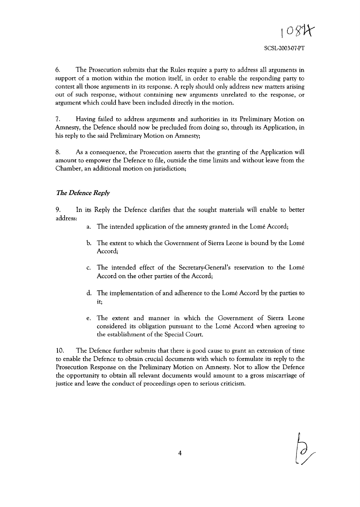6. The Prosecution submits that the Rules require a party to address all arguments in support of a motion within the motion itself, in order to enable the responding party to contest all those arguments in its response. A reply should only address new matters arising out of such response, without containing new arguments unrelated to the response, or argument which could have been included directly in the motion.

7. Having failed to address arguments and authorities in its Preliminary Motion on Amnesty, the Defence should now be precluded from doing so, through its Application, in his reply to the said Preliminary Motion on Amnesty;

8. As a consequence, the Prosecution asserts that the granting of the Application will amount to empower the Defence to file, outside the time limits and without leave from the Chamber, an additional motion on jurisdiction;

# The *Defence Reply*

9. In its Reply the Defence clarifies that the sought materials will enable to better address:

- a. The intended application of the amnesty granted in the Lomé Accord;
- b. The extent to which the Government of Sierra Leone is bound by the Lome Accord;
- c. The intended effect of the Secretary-General's reservation to the Lome Accord on the other parties of the Accord;
- d. The implementation of and adherence to the Lome Accord by the parties to it;
- e. The extent and manner in which the Government of Sierra Leone considered its obligation pursuant to the Lome Accord when agreeing to the establishment of the Special Court.

10. The Defence further submits that there is good cause to grant an extension of time to enable the Defence to obtain crucial documents with which to formulate its reply to the Prosecution Response on the Preliminary Motion on Amnesty. Not to allow the Defence the opportunity to obtain all relevant documents would amount to a gross miscarriage of justice and leave the conduct of proceedings open to serious criticism.

4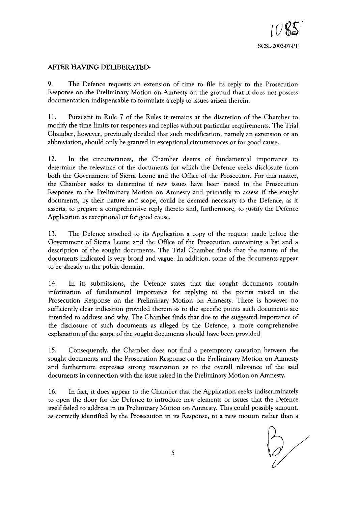

## **AFfER** HAVING **DELIBERATED:**

9. The Defence requests an extension of time to file its reply to the Prosecution Response on the Preliminary Motion on Amnesty on the ground that it does not possess documentation indispensable to formulate a reply to issues arisen therein.

11. Pursuant to Rule 7 of the Rules it remains at the discretion of the Chamber to modify the time limits for responses and replies without particular requirements. The Trial Chamber, however, previously decided that such modification, namely an extension or an abbreviation, should only be granted in exceptional circumstances or for good cause.

12. In the circumstances, the Chamber deems of fundamental importance to determine the relevance of the documents for which the Defence seeks disclosure from both the Government of Sierra Leone and the Office of the Prosecutor. For this matter, the Chamber seeks to determine if new issues have been raised in the Prosecution Response to the Preliminary Motion on Amnesty and primarily to assess if the sought documents, by their nature and scope, could be deemed necessary to the Defence, as it asserts, to prepare a comprehensive reply thereto and, furthermore, to justify the Defence Application as exceptional or for good cause.

13. The Defence attached to its Application a copy of the request made before the Government of Sierra Leone and the Office of the Prosecution containing a list and a description of the sought documents. The Trial Chamber finds that the nature of the documents indicated is very broad and vague. In addition, some of the documents appear to be already in the public domain.

14. In its submissions, the Defence states that the sought documents contain information of fundamental importance for replying to the points raised in the Prosecution Response on the Preliminary Motion on Amnesty. There is however no sufficiently clear indication provided therein as to the specific points such documents are intended to address and why. The Chamber finds that due to the suggested importance of the disclosure of such documents as alleged by the Defence, a more comprehensive explanation of the scope of the sought documents should have been provided.

15. Consequently, the Chamber does not find a peremptory causation between the sought documents and the Prosecution Response on the Preliminary Motion on Amnesty and furthermore expresses strong reservation as to the overall relevance of the said documents in connection with the issue raised in the Preliminary Motion on Amnesty.

16. In fact, it does appear to the Chamber that the Application seeks indiscriminately to open the door for the Defence to introduce new elements or issues that the Defence itself failed to address in its Preliminary Motion on Amnesty. This could possibly amount, as correctly identified by the Prosecution in its Response, to a new motion rather than a

bly amount,<br>ther than a<br>(